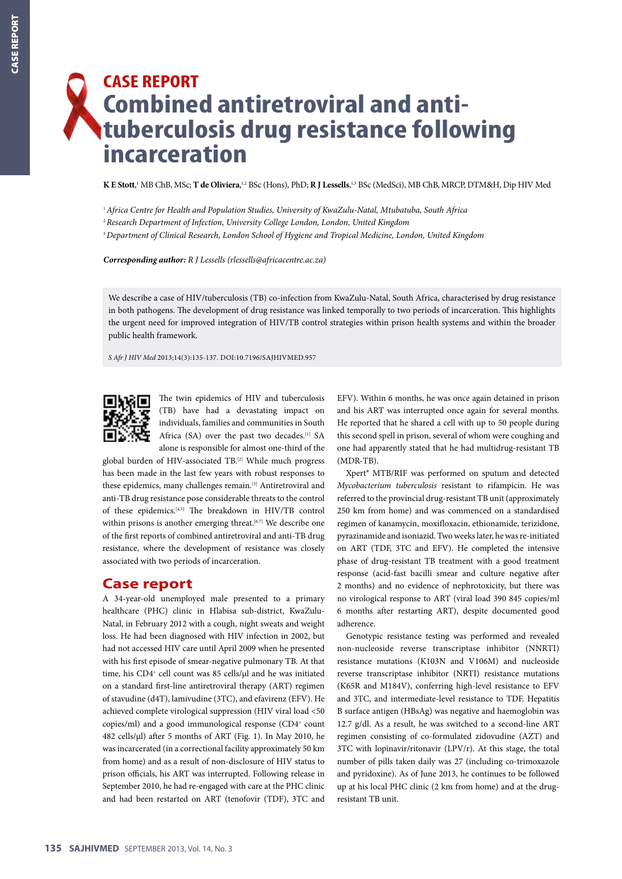# **CASE REPORT Combined antiretroviral and antituberculosis drug resistance following incarceration**

 $\bf K\,E\,S$ tott,' MB ChB, MSc; **T de Oliviera**,<sup>1,2</sup> BSc (Hons), PhD; **R J Lessells**,'<sup>,3</sup> BSc (MedSci), MB ChB, MRCP, DTM&H, Dip HIV Med

<sup>1</sup>*Africa Centre for Health and Population Studies, University of KwaZulu-Natal, Mtubatuba, South Africa*

<sup>2</sup>*Research Department of Infection, University College London, London, United Kingdom*

<sup>3</sup>*Department of Clinical Research, London School of Hygiene and Tropical Medicine, London, United Kingdom*

*Corresponding author: R J Lessells [\(rlessells@africacentre.ac.za\)](mailto:rlessells@africacentre.ac.za)*

We describe a case of HIV/tuberculosis (TB) co-infection from KwaZulu-Natal, South Africa, characterised by drug resistance in both pathogens. The development of drug resistance was linked temporally to two periods of incarceration. This highlights the urgent need for improved integration of HIV/TB control strategies within prison health systems and within the broader public health framework.

*S Afr J HIV Med* 2013;14(3):135-137. DOI:10.7196/SAJHIVMED.957



The twin epidemics of HIV and tuberculosis (TB) have had a devastating impact on individuals, families and communities in South Africa (SA) over the past two decades.<sup>[1]</sup> SA alone is responsible for almost one-third of the

global burden of HIV-associated TB.[2] While much progress has been made in the last few years with robust responses to these epidemics, many challenges remain.<sup>[3]</sup> Antiretroviral and anti-TB drug resistance pose considerable threats to the control of these epidemics.[4,5] The breakdown in HIV/TB control within prisons is another emerging threat.<sup>[6,7]</sup> We describe one of the first reports of combined antiretroviral and anti-TB drug resistance, where the development of resistance was closely associated with two periods of incarceration.

#### **Case report**

A 34-year-old unemployed male presented to a primary healthcare (PHC) clinic in Hlabisa sub-district, KwaZulu-Natal, in February 2012 with a cough, night sweats and weight loss. He had been diagnosed with HIV infection in 2002, but had not accessed HIV care until April 2009 when he presented with his first episode of smear-negative pulmonary TB. At that time, his CD4<sup>+</sup> cell count was 85 cells/µl and he was initiated on a standard first-line antiretroviral therapy (ART) regimen of stavudine (d4T), lamivudine (3TC), and efavirenz (EFV). He achieved complete virological suppression (HIV viral load <50 copies/ml) and a good immunological response (CD4+ count 482 cells/µl) after 5 months of ART (Fig. 1). In May 2010, he was incarcerated (in a correctional facility approximately 50 km from home) and as a result of non-disclosure of HIV status to prison officials, his ART was interrupted. Following release in September 2010, he had re-engaged with care at the PHC clinic and had been restarted on ART (tenofovir (TDF), 3TC and

EFV). Within 6 months, he was once again detained in prison and his ART was interrupted once again for several months. He reported that he shared a cell with up to 50 people during this second spell in prison, several of whom were coughing and one had apparently stated that he had multidrug-resistant TB (MDR-TB).

Xpert® MTB/RIF was performed on sputum and detected *Mycobacterium tuberculosis* resistant to rifampicin. He was referred to the provincial drug-resistant TB unit (approximately 250 km from home) and was commenced on a standardised regimen of kanamycin, moxifloxacin, ethionamide, terizidone, pyrazinamide and isoniazid. Two weeks later, he was re-initiated on ART (TDF, 3TC and EFV). He completed the intensive phase of drug-resistant TB treatment with a good treatment response (acid-fast bacilli smear and culture negative after 2 months) and no evidence of nephrotoxicity, but there was no virological response to ART (viral load 390 845 copies/ml 6 months after restarting ART), despite documented good adherence.

Genotypic resistance testing was performed and revealed non-nucleoside reverse transcriptase inhibitor (NNRTI) resistance mutations (K103N and V106M) and nucleoside reverse transcriptase inhibitor (NRTI) resistance mutations (K65R and M184V), conferring high-level resistance to EFV and 3TC, and intermediate-level resistance to TDF. Hepatitis B surface antigen (HBsAg) was negative and haemoglobin was 12.7 g/dl. As a result, he was switched to a second-line ART regimen consisting of co-formulated zidovudine (AZT) and 3TC with lopinavir/ritonavir (LPV/r). At this stage, the total number of pills taken daily was 27 (including co-trimoxazole and pyridoxine). As of June 2013, he continues to be followed up at his local PHC clinic (2 km from home) and at the drugresistant TB unit.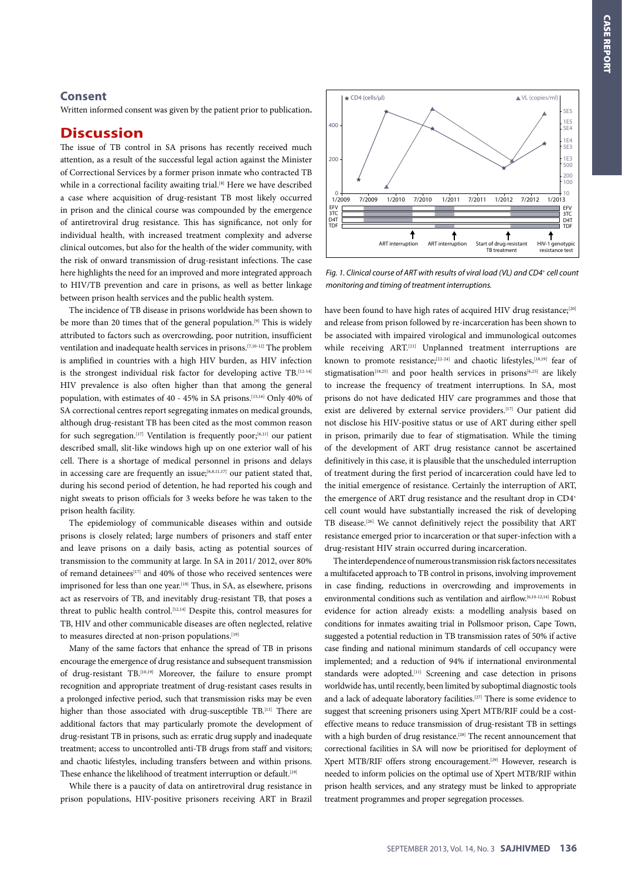### **Consent**

Written informed consent was given by the patient prior to publication**.**

## **Discussion**

The issue of TB control in SA prisons has recently received much attention, as a result of the successful legal action against the Minister of Correctional Services by a former prison inmate who contracted TB while in a correctional facility awaiting trial.<sup>[8]</sup> Here we have described a case where acquisition of drug-resistant TB most likely occurred in prison and the clinical course was compounded by the emergence of antiretroviral drug resistance. This has significance, not only for individual health, with increased treatment complexity and adverse clinical outcomes, but also for the health of the wider community, with the risk of onward transmission of drug-resistant infections. The case here highlights the need for an improved and more integrated approach to HIV/TB prevention and care in prisons, as well as better linkage between prison health services and the public health system.

The incidence of TB disease in prisons worldwide has been shown to be more than 20 times that of the general population.<sup>[9]</sup> This is widely attributed to factors such as overcrowding, poor nutrition, insufficient ventilation and inadequate health services in prisons.[7,10-12] The problem is amplified in countries with a high HIV burden, as HIV infection is the strongest individual risk factor for developing active TB.<sup>[12-14]</sup> HIV prevalence is also often higher than that among the general population, with estimates of 40 - 45% in SA prisons.[15,16] Only 40% of SA correctional centres report segregating inmates on medical grounds, although drug-resistant TB has been cited as the most common reason for such segregation.<sup>[17]</sup> Ventilation is frequently poor;<sup>[6,11]</sup> our patient described small, slit-like windows high up on one exterior wall of his cell. There is a shortage of medical personnel in prisons and delays in accessing care are frequently an issue;<sup>[6,8,11,17]</sup> our patient stated that, during his second period of detention, he had reported his cough and night sweats to prison officials for 3 weeks before he was taken to the prison health facility.

The epidemiology of communicable diseases within and outside prisons is closely related; large numbers of prisoners and staff enter and leave prisons on a daily basis, acting as potential sources of transmission to the community at large. In SA in 2011/ 2012, over 80% of remand detainees<sup>[17]</sup> and 40% of those who received sentences were imprisoned for less than one year.<sup>[18]</sup> Thus, in SA, as elsewhere, prisons act as reservoirs of TB, and inevitably drug-resistant TB, that poses a threat to public health control.<sup>[12,14]</sup> Despite this, control measures for TB, HIV and other communicable diseases are often neglected, relative to measures directed at non-prison populations.<sup>[19]</sup>

Many of the same factors that enhance the spread of TB in prisons encourage the emergence of drug resistance and subsequent transmission of drug-resistant TB.[10,19] Moreover, the failure to ensure prompt recognition and appropriate treatment of drug-resistant cases results in a prolonged infective period, such that transmission risks may be even higher than those associated with drug-susceptible TB.<sup>[11]</sup> There are additional factors that may particularly promote the development of drug-resistant TB in prisons, such as: erratic drug supply and inadequate treatment; access to uncontrolled anti-TB drugs from staff and visitors; and chaotic lifestyles, including transfers between and within prisons. These enhance the likelihood of treatment interruption or default.<sup>[19]</sup>

While there is a paucity of data on antiretroviral drug resistance in prison populations, HIV-positive prisoners receiving ART in Brazil



*Fig. 1. Clinical course of ART with results of viral load (VL) and CD4+ cell count monitoring and timing of treatment interruptions.*

have been found to have high rates of acquired HIV drug resistance;<sup>[20]</sup> and release from prison followed by re-incarceration has been shown to be associated with impaired virological and immunological outcomes while receiving ART.<sup>[21]</sup> Unplanned treatment interruptions are known to promote resistance;<sup>[22-24]</sup> and chaotic lifestyles,<sup>[18,19]</sup> fear of stigmatisation<sup>[18,25]</sup> and poor health services in prisons<sup>[6,25]</sup> are likely to increase the frequency of treatment interruptions. In SA, most prisons do not have dedicated HIV care programmes and those that exist are delivered by external service providers.<sup>[17]</sup> Our patient did not disclose his HIV-positive status or use of ART during either spell in prison, primarily due to fear of stigmatisation. While the timing of the development of ART drug resistance cannot be ascertained definitively in this case, it is plausible that the unscheduled interruption of treatment during the first period of incarceration could have led to the initial emergence of resistance. Certainly the interruption of ART, the emergence of ART drug resistance and the resultant drop in CD4<sup>+</sup> cell count would have substantially increased the risk of developing TB disease.[26] We cannot definitively reject the possibility that ART resistance emerged prior to incarceration or that super-infection with a drug-resistant HIV strain occurred during incarceration.

The interdependence of numerous transmission risk factors necessitates a multifaceted approach to TB control in prisons, involving improvement in case finding, reductions in overcrowding and improvements in environmental conditions such as ventilation and airflow.[6,10-12,14] Robust evidence for action already exists: a modelling analysis based on conditions for inmates awaiting trial in Pollsmoor prison, Cape Town, suggested a potential reduction in TB transmission rates of 50% if active case finding and national minimum standards of cell occupancy were implemented; and a reduction of 94% if international environmental standards were adopted.<sup>[11]</sup> Screening and case detection in prisons worldwide has, until recently, been limited by suboptimal diagnostic tools and a lack of adequate laboratory facilities.<sup>[27]</sup> There is some evidence to suggest that screening prisoners using Xpert MTB/RIF could be a costeffective means to reduce transmission of drug-resistant TB in settings with a high burden of drug resistance.<sup>[28]</sup> The recent announcement that correctional facilities in SA will now be prioritised for deployment of Xpert MTB/RIF offers strong encouragement.[29] However, research is needed to inform policies on the optimal use of Xpert MTB/RIF within prison health services, and any strategy must be linked to appropriate treatment programmes and proper segregation processes.